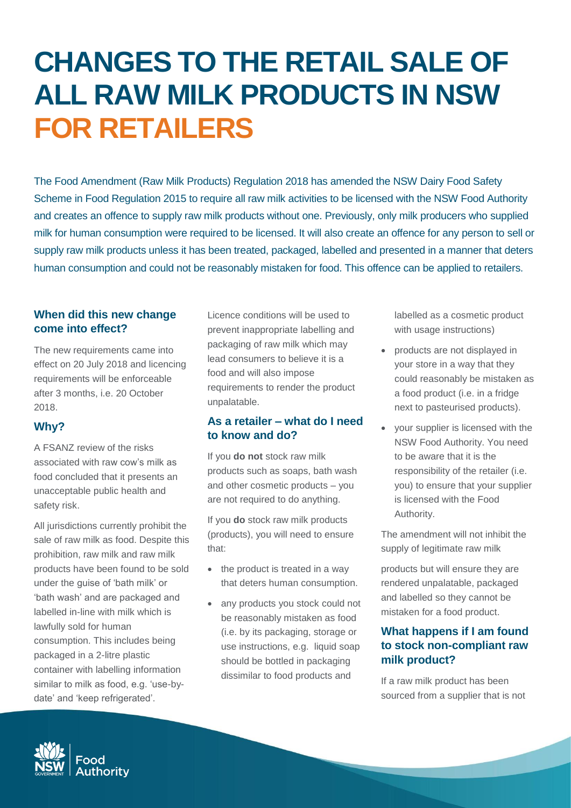# **CHANGES TO THE RETAIL SALE OF ALL RAW MILK PRODUCTS IN NSW FOR RETAILERS**

The Food Amendment (Raw Milk Products) Regulation 2018 has amended the NSW Dairy Food Safety Scheme in Food Regulation 2015 to require all raw milk activities to be licensed with the NSW Food Authority and creates an offence to supply raw milk products without one. Previously, only milk producers who supplied milk for human consumption were required to be licensed. It will also create an offence for any person to sell or supply raw milk products unless it has been treated, packaged, labelled and presented in a manner that deters human consumption and could not be reasonably mistaken for food. This offence can be applied to retailers.

#### **When did this new change come into effect?**

The new requirements came into effect on 20 July 2018 and licencing requirements will be enforceable after 3 months, i.e. 20 October 2018.

## **Why?**

A FSANZ review of the risks associated with raw cow's milk as food concluded that it presents an unacceptable public health and safety risk.

All jurisdictions currently prohibit the sale of raw milk as food. Despite this prohibition, raw milk and raw milk products have been found to be sold under the guise of 'bath milk' or 'bath wash' and are packaged and labelled in-line with milk which is lawfully sold for human consumption. This includes being packaged in a 2-litre plastic container with labelling information similar to milk as food, e.g. 'use-bydate' and 'keep refrigerated'.

Licence conditions will be used to prevent inappropriate labelling and packaging of raw milk which may lead consumers to believe it is a food and will also impose requirements to render the product unpalatable.

#### **As a retailer – what do I need to know and do?**

If you **do not** stock raw milk products such as soaps, bath wash and other cosmetic products – you are not required to do anything.

If you **do** stock raw milk products (products), you will need to ensure that:

- the product is treated in a way that deters human consumption.
- any products you stock could not be reasonably mistaken as food (i.e. by its packaging, storage or use instructions, e.g. liquid soap should be bottled in packaging dissimilar to food products and

labelled as a cosmetic product with usage instructions)

- products are not displayed in your store in a way that they could reasonably be mistaken as a food product (i.e. in a fridge next to pasteurised products).
- your supplier is licensed with the NSW Food Authority. You need to be aware that it is the responsibility of the retailer (i.e. you) to ensure that your supplier is licensed with the Food Authority.

The amendment will not inhibit the supply of legitimate raw milk

products but will ensure they are rendered unpalatable, packaged and labelled so they cannot be mistaken for a food product.

### **What happens if I am found to stock non-compliant raw milk product?**

If a raw milk product has been sourced from a supplier that is not